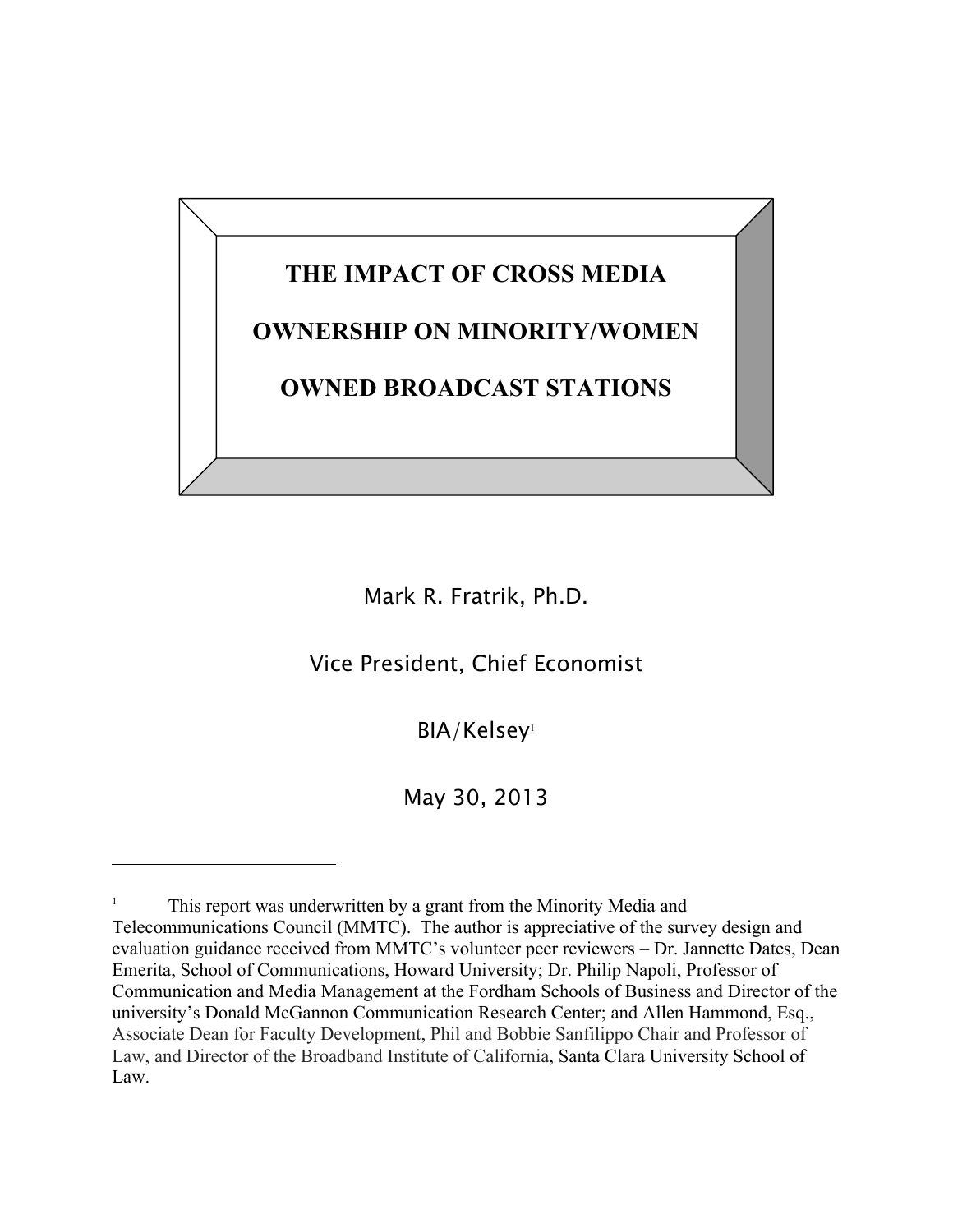# **THE IMPACT OF CROSS MEDIA OWNERSHIP ON MINORITY/WOMEN OWNED BROADCAST STATIONS**

Mark R. Fratrik, Ph.D.

Vice President, Chief Economist

BIA/Kelsey<sup>1</sup>

May 30, 2013

<sup>1</sup> This report was underwritten by a grant from the Minority Media and Telecommunications Council (MMTC). The author is appreciative of the survey design and evaluation guidance received from MMTC's volunteer peer reviewers – Dr. Jannette Dates, Dean Emerita, School of Communications, Howard University; Dr. Philip Napoli, Professor of Communication and Media Management at the Fordham Schools of Business and Director of the university's Donald McGannon Communication Research Center; and Allen Hammond, Esq., Associate Dean for Faculty Development, Phil and Bobbie Sanfilippo Chair and Professor of Law, and Director of the Broadband Institute of California, Santa Clara University School of Law.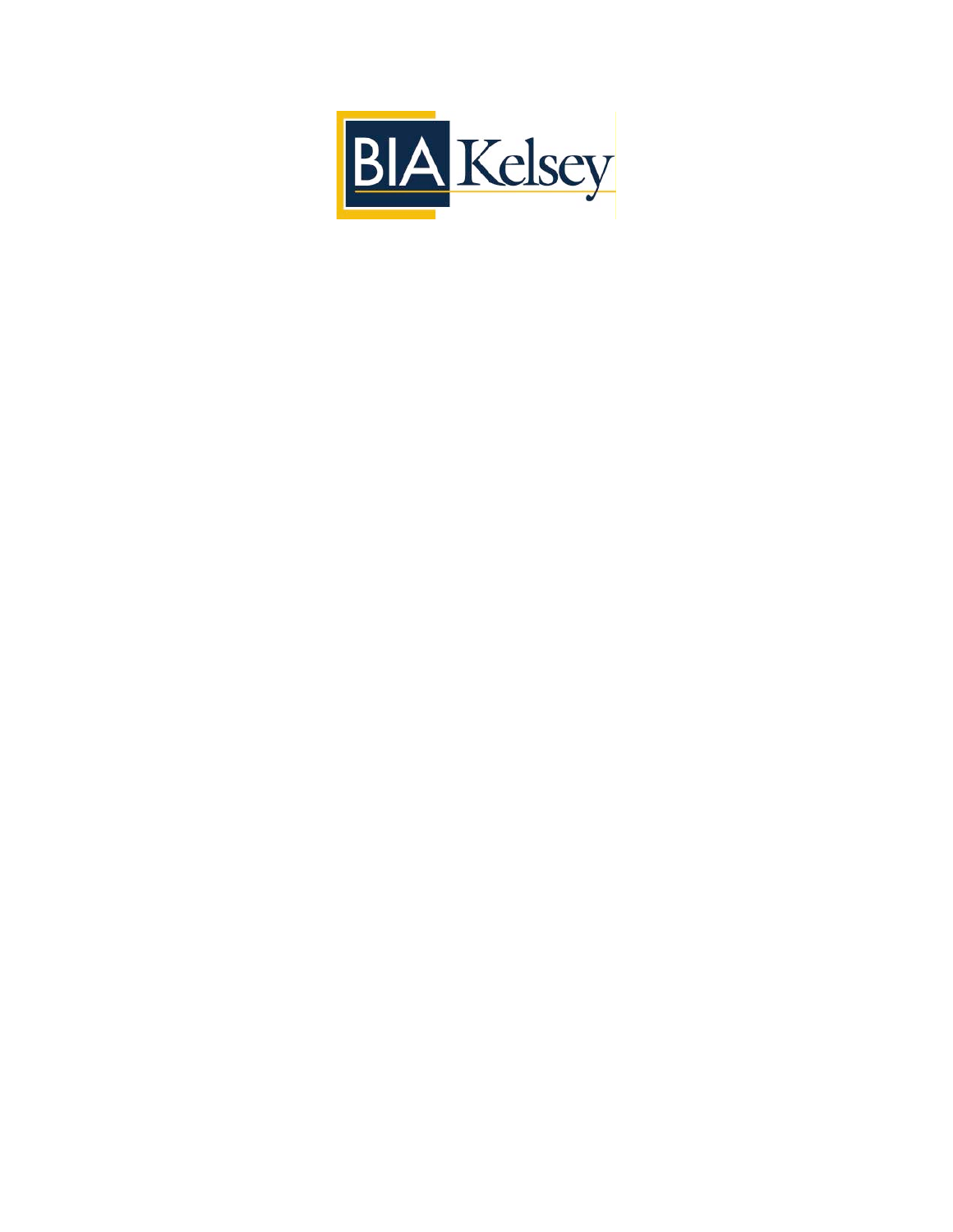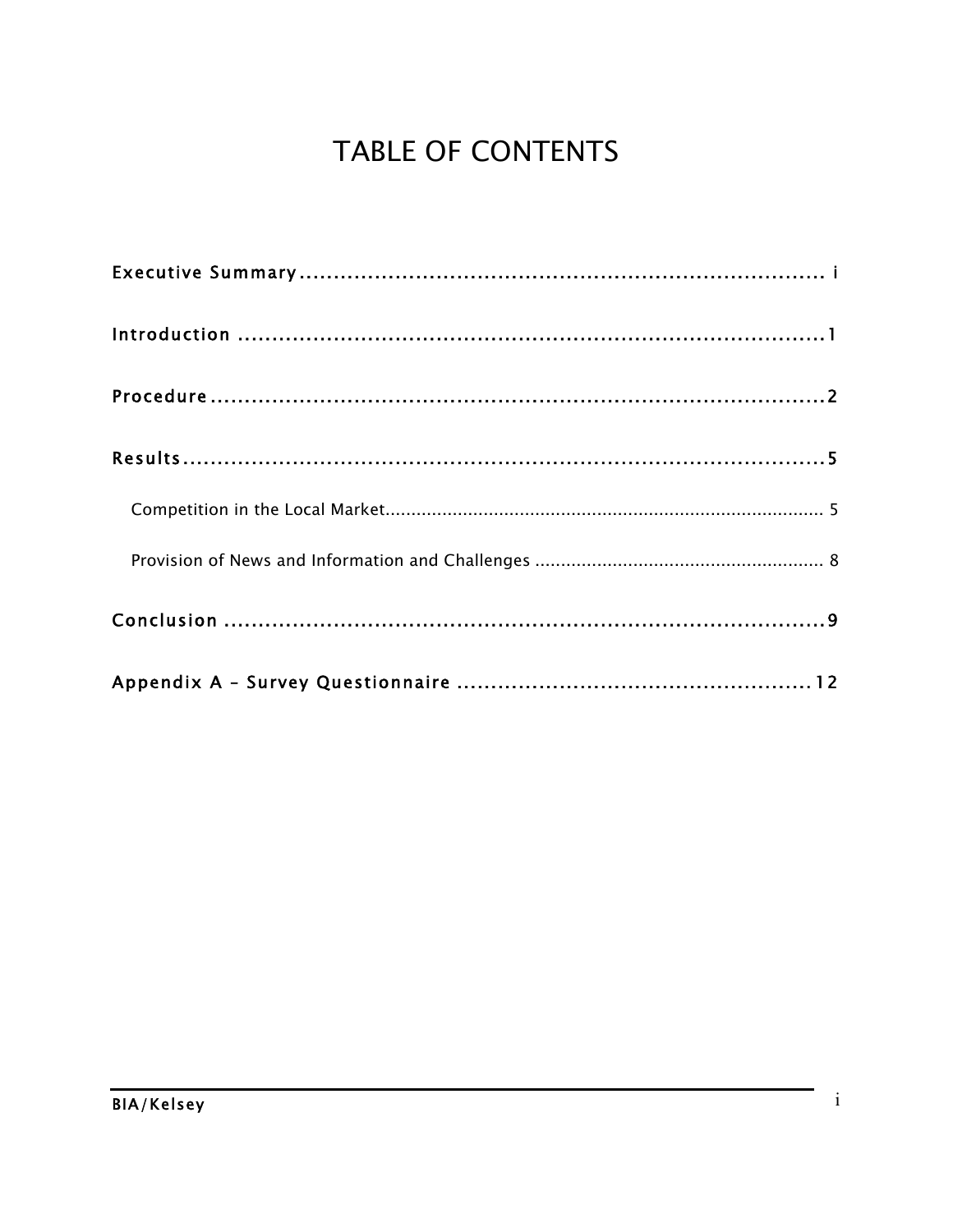# **TABLE OF CONTENTS**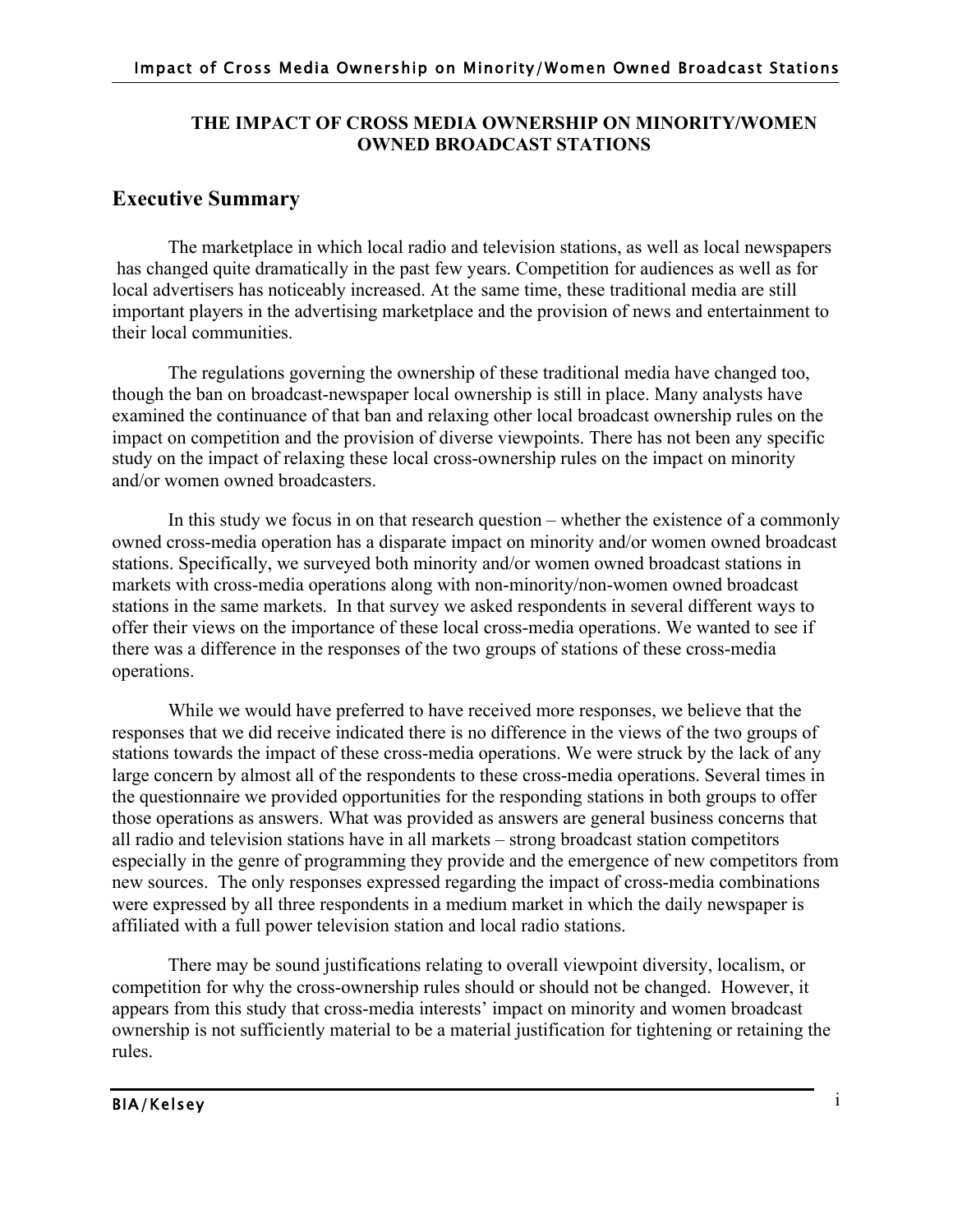# **THE IMPACT OF CROSS MEDIA OWNERSHIP ON MINORITY/WOMEN OWNED BROADCAST STATIONS**

# **Executive Summary**

The marketplace in which local radio and television stations, as well as local newspapers has changed quite dramatically in the past few years. Competition for audiences as well as for local advertisers has noticeably increased. At the same time, these traditional media are still important players in the advertising marketplace and the provision of news and entertainment to their local communities.

The regulations governing the ownership of these traditional media have changed too, though the ban on broadcast-newspaper local ownership is still in place. Many analysts have examined the continuance of that ban and relaxing other local broadcast ownership rules on the impact on competition and the provision of diverse viewpoints. There has not been any specific study on the impact of relaxing these local cross-ownership rules on the impact on minority and/or women owned broadcasters.

In this study we focus in on that research question – whether the existence of a commonly owned cross-media operation has a disparate impact on minority and/or women owned broadcast stations. Specifically, we surveyed both minority and/or women owned broadcast stations in markets with cross-media operations along with non-minority/non-women owned broadcast stations in the same markets. In that survey we asked respondents in several different ways to offer their views on the importance of these local cross-media operations. We wanted to see if there was a difference in the responses of the two groups of stations of these cross-media operations.

While we would have preferred to have received more responses, we believe that the responses that we did receive indicated there is no difference in the views of the two groups of stations towards the impact of these cross-media operations. We were struck by the lack of any large concern by almost all of the respondents to these cross-media operations. Several times in the questionnaire we provided opportunities for the responding stations in both groups to offer those operations as answers. What was provided as answers are general business concerns that all radio and television stations have in all markets – strong broadcast station competitors especially in the genre of programming they provide and the emergence of new competitors from new sources. The only responses expressed regarding the impact of cross-media combinations were expressed by all three respondents in a medium market in which the daily newspaper is affiliated with a full power television station and local radio stations.

There may be sound justifications relating to overall viewpoint diversity, localism, or competition for why the cross-ownership rules should or should not be changed. However, it appears from this study that cross-media interests' impact on minority and women broadcast ownership is not sufficiently material to be a material justification for tightening or retaining the rules.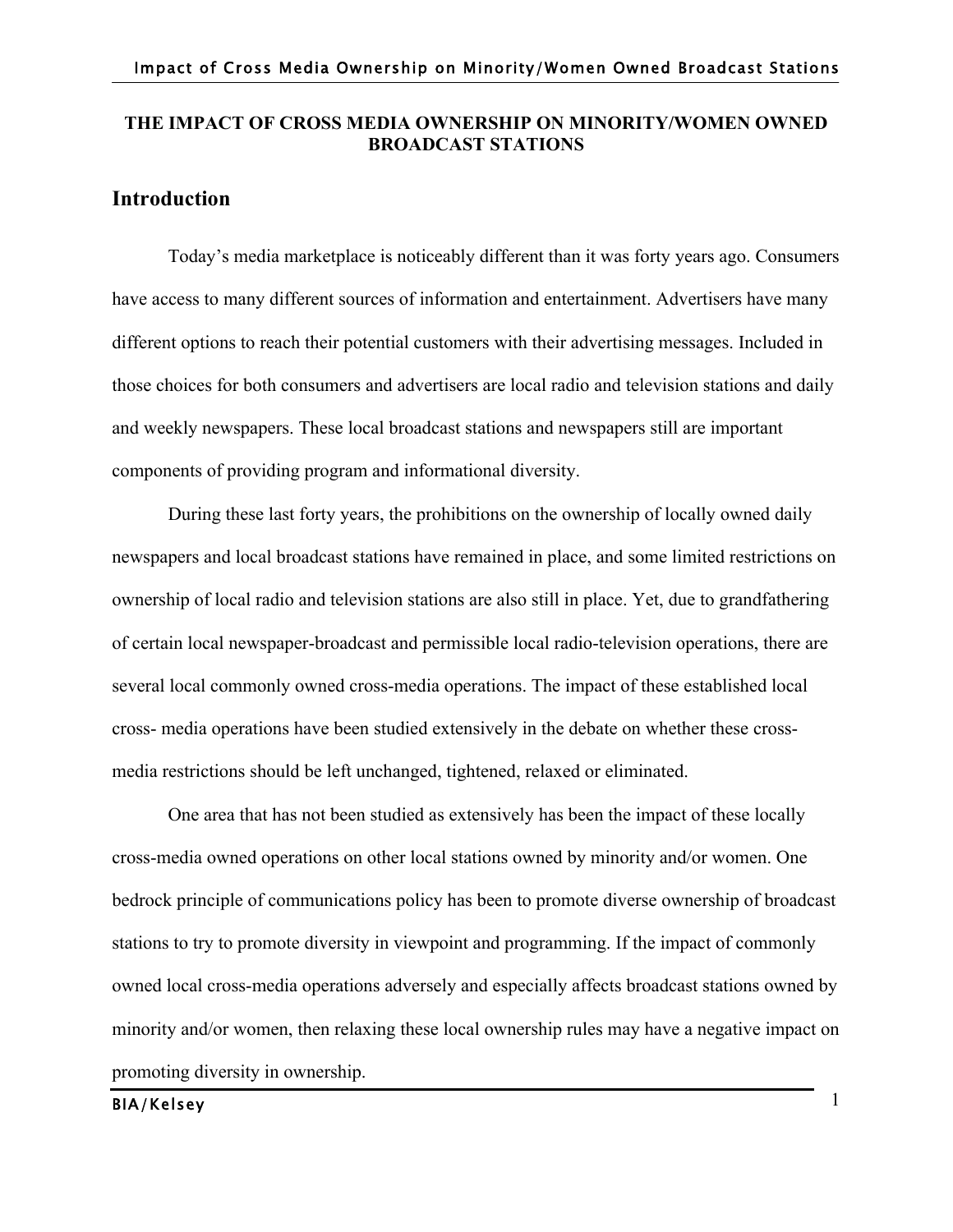# **THE IMPACT OF CROSS MEDIA OWNERSHIP ON MINORITY/WOMEN OWNED BROADCAST STATIONS**

# **Introduction**

Today's media marketplace is noticeably different than it was forty years ago. Consumers have access to many different sources of information and entertainment. Advertisers have many different options to reach their potential customers with their advertising messages. Included in those choices for both consumers and advertisers are local radio and television stations and daily and weekly newspapers. These local broadcast stations and newspapers still are important components of providing program and informational diversity.

During these last forty years, the prohibitions on the ownership of locally owned daily newspapers and local broadcast stations have remained in place, and some limited restrictions on ownership of local radio and television stations are also still in place. Yet, due to grandfathering of certain local newspaper-broadcast and permissible local radio-television operations, there are several local commonly owned cross-media operations. The impact of these established local cross- media operations have been studied extensively in the debate on whether these crossmedia restrictions should be left unchanged, tightened, relaxed or eliminated.

One area that has not been studied as extensively has been the impact of these locally cross-media owned operations on other local stations owned by minority and/or women. One bedrock principle of communications policy has been to promote diverse ownership of broadcast stations to try to promote diversity in viewpoint and programming. If the impact of commonly owned local cross-media operations adversely and especially affects broadcast stations owned by minority and/or women, then relaxing these local ownership rules may have a negative impact on promoting diversity in ownership.

# BIA/Kelsey 1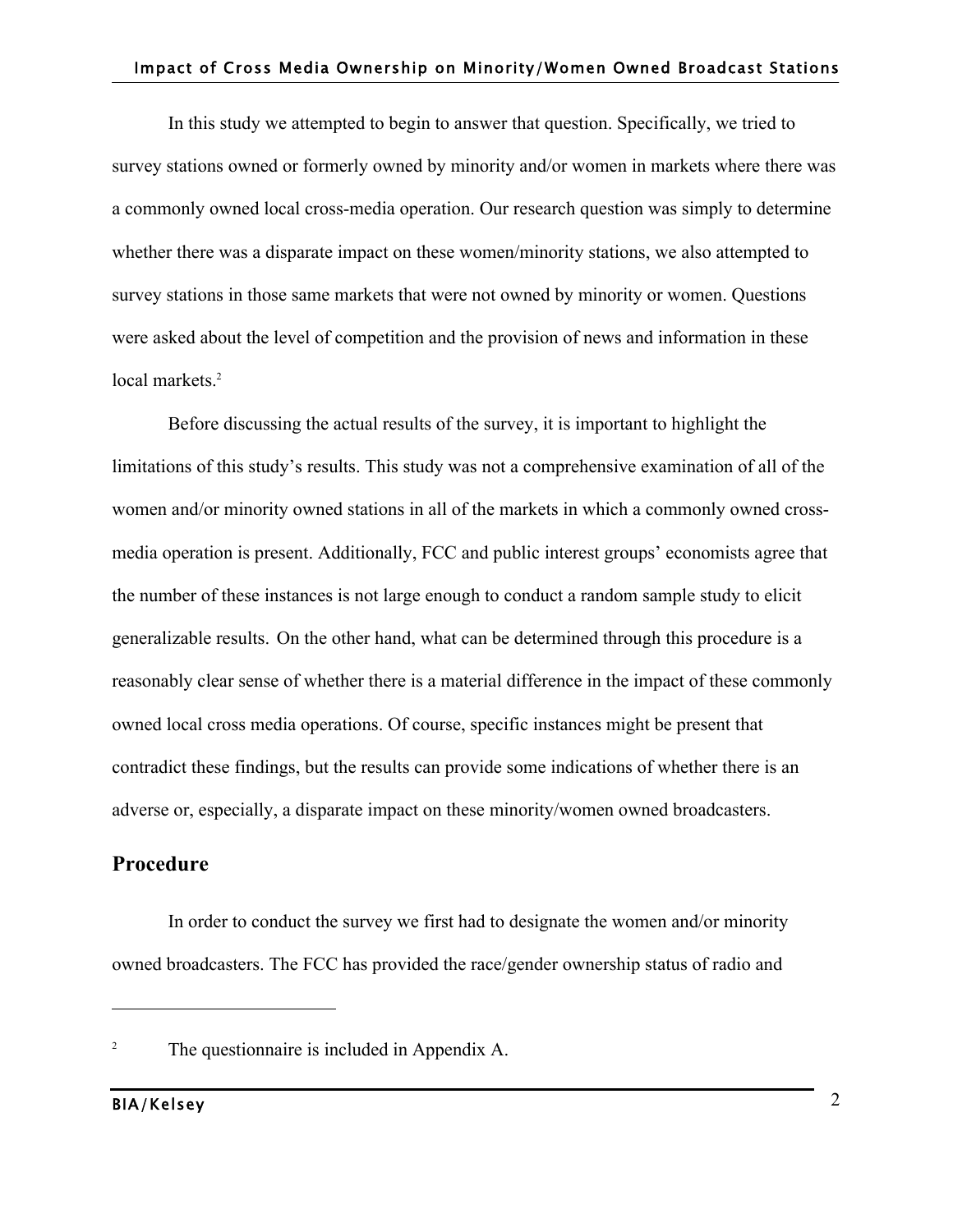In this study we attempted to begin to answer that question. Specifically, we tried to survey stations owned or formerly owned by minority and/or women in markets where there was a commonly owned local cross-media operation. Our research question was simply to determine whether there was a disparate impact on these women/minority stations, we also attempted to survey stations in those same markets that were not owned by minority or women. Questions were asked about the level of competition and the provision of news and information in these local markets.<sup>2</sup>

Before discussing the actual results of the survey, it is important to highlight the limitations of this study's results. This study was not a comprehensive examination of all of the women and/or minority owned stations in all of the markets in which a commonly owned crossmedia operation is present. Additionally, FCC and public interest groups' economists agree that the number of these instances is not large enough to conduct a random sample study to elicit generalizable results. On the other hand, what can be determined through this procedure is a reasonably clear sense of whether there is a material difference in the impact of these commonly owned local cross media operations. Of course, specific instances might be present that contradict these findings, but the results can provide some indications of whether there is an adverse or, especially, a disparate impact on these minority/women owned broadcasters.

# **Procedure**

In order to conduct the survey we first had to designate the women and/or minority owned broadcasters. The FCC has provided the race/gender ownership status of radio and

<sup>&</sup>lt;sup>2</sup> The questionnaire is included in Appendix A.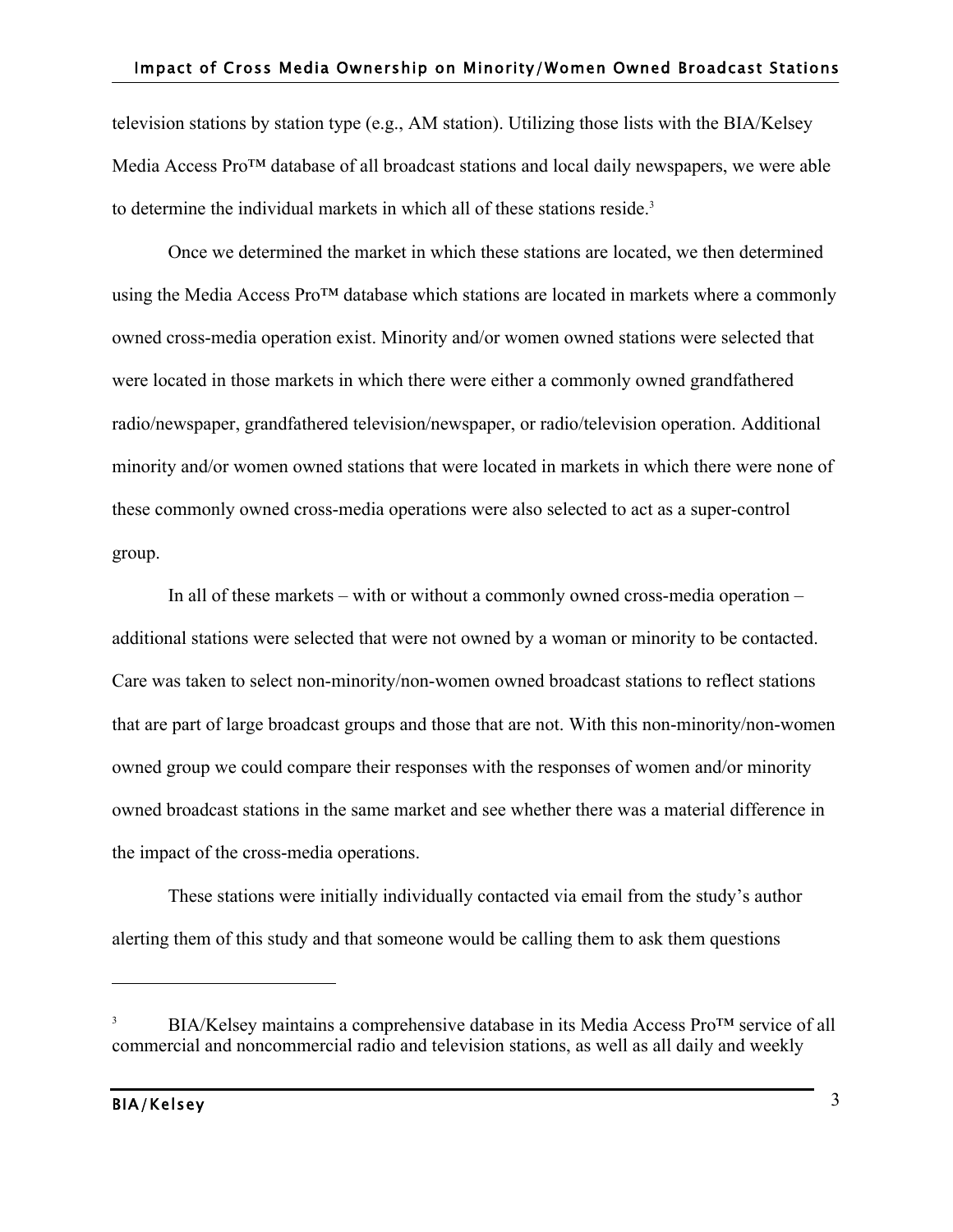television stations by station type (e.g., AM station). Utilizing those lists with the BIA/Kelsey Media Access Pro™ database of all broadcast stations and local daily newspapers, we were able to determine the individual markets in which all of these stations reside.<sup>3</sup>

Once we determined the market in which these stations are located, we then determined using the Media Access Pro™ database which stations are located in markets where a commonly owned cross-media operation exist. Minority and/or women owned stations were selected that were located in those markets in which there were either a commonly owned grandfathered radio/newspaper, grandfathered television/newspaper, or radio/television operation. Additional minority and/or women owned stations that were located in markets in which there were none of these commonly owned cross-media operations were also selected to act as a super-control group.

In all of these markets – with or without a commonly owned cross-media operation – additional stations were selected that were not owned by a woman or minority to be contacted. Care was taken to select non-minority/non-women owned broadcast stations to reflect stations that are part of large broadcast groups and those that are not. With this non-minority/non-women owned group we could compare their responses with the responses of women and/or minority owned broadcast stations in the same market and see whether there was a material difference in the impact of the cross-media operations.

These stations were initially individually contacted via email from the study's author alerting them of this study and that someone would be calling them to ask them questions

BIA/Kelsey maintains a comprehensive database in its Media Access Pro™ service of all commercial and noncommercial radio and television stations, as well as all daily and weekly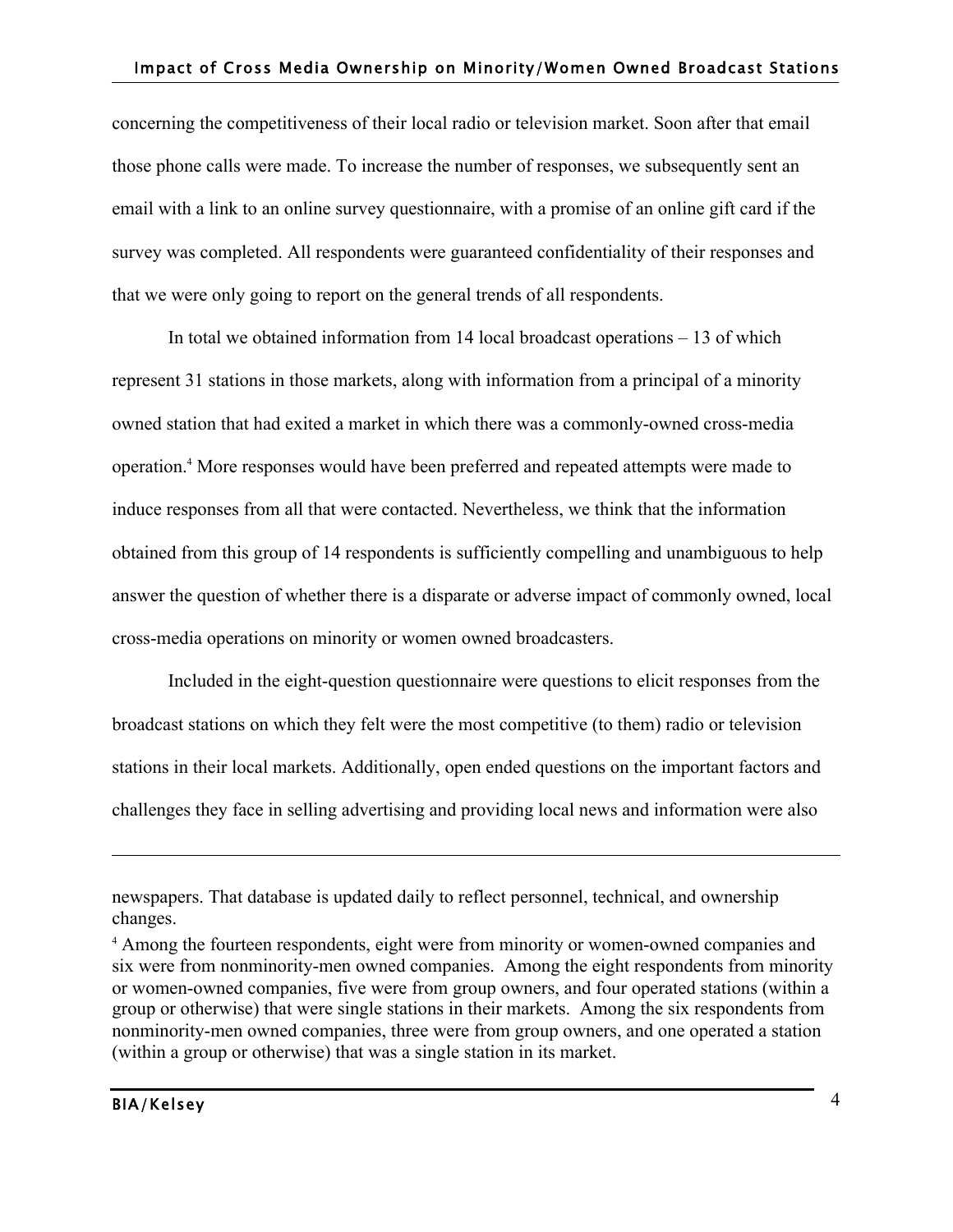concerning the competitiveness of their local radio or television market. Soon after that email those phone calls were made. To increase the number of responses, we subsequently sent an email with a link to an online survey questionnaire, with a promise of an online gift card if the survey was completed. All respondents were guaranteed confidentiality of their responses and that we were only going to report on the general trends of all respondents.

In total we obtained information from 14 local broadcast operations – 13 of which represent 31 stations in those markets, along with information from a principal of a minority owned station that had exited a market in which there was a commonly-owned cross-media operation.4 More responses would have been preferred and repeated attempts were made to induce responses from all that were contacted. Nevertheless, we think that the information obtained from this group of 14 respondents is sufficiently compelling and unambiguous to help answer the question of whether there is a disparate or adverse impact of commonly owned, local cross-media operations on minority or women owned broadcasters.

Included in the eight-question questionnaire were questions to elicit responses from the broadcast stations on which they felt were the most competitive (to them) radio or television stations in their local markets. Additionally, open ended questions on the important factors and challenges they face in selling advertising and providing local news and information were also

newspapers. That database is updated daily to reflect personnel, technical, and ownership changes.

<sup>&</sup>lt;sup>4</sup> Among the fourteen respondents, eight were from minority or women-owned companies and six were from nonminority-men owned companies. Among the eight respondents from minority or women-owned companies, five were from group owners, and four operated stations (within a group or otherwise) that were single stations in their markets. Among the six respondents from nonminority-men owned companies, three were from group owners, and one operated a station (within a group or otherwise) that was a single station in its market.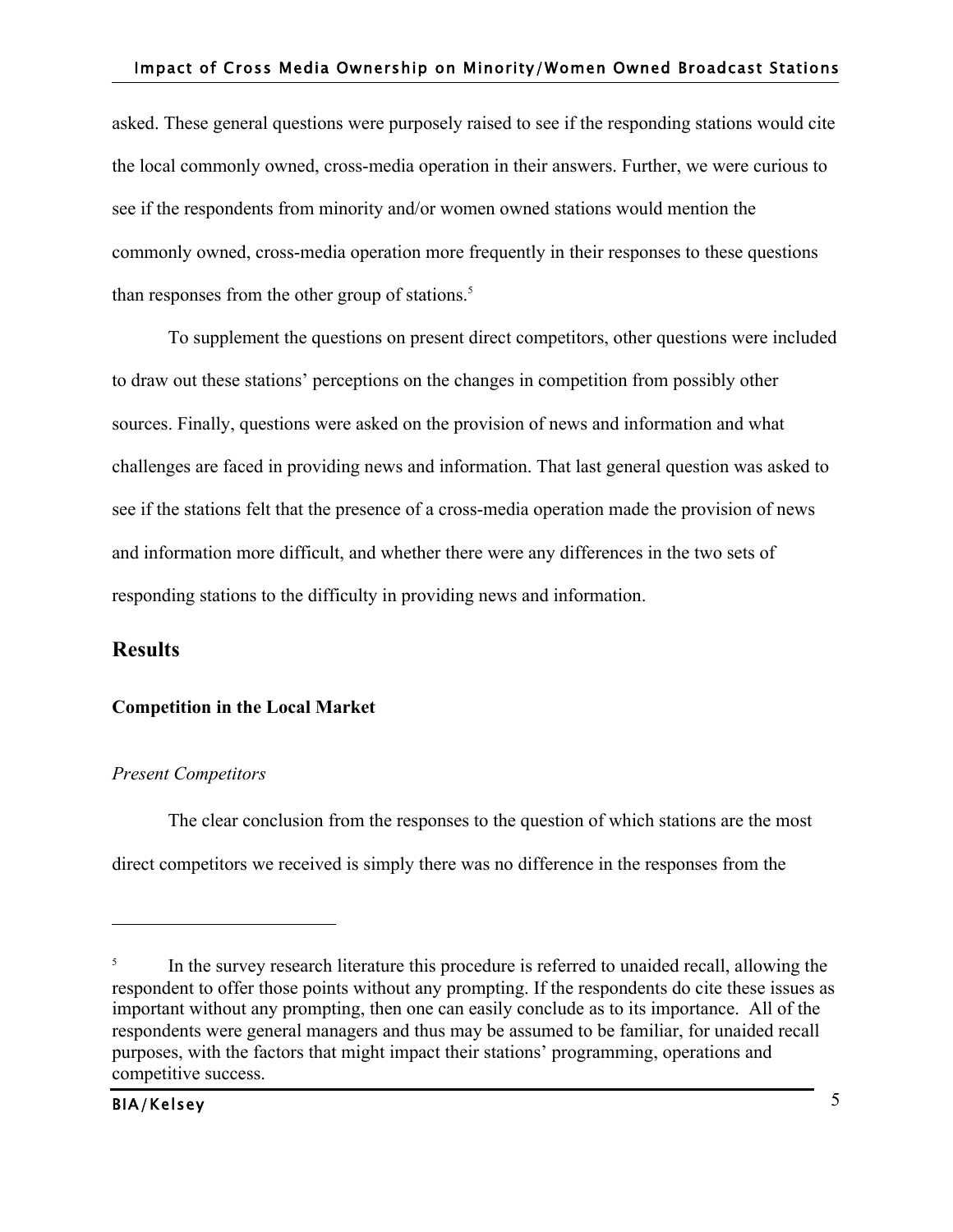asked. These general questions were purposely raised to see if the responding stations would cite the local commonly owned, cross-media operation in their answers. Further, we were curious to see if the respondents from minority and/or women owned stations would mention the commonly owned, cross-media operation more frequently in their responses to these questions than responses from the other group of stations. $5$ 

To supplement the questions on present direct competitors, other questions were included to draw out these stations' perceptions on the changes in competition from possibly other sources. Finally, questions were asked on the provision of news and information and what challenges are faced in providing news and information. That last general question was asked to see if the stations felt that the presence of a cross-media operation made the provision of news and information more difficult, and whether there were any differences in the two sets of responding stations to the difficulty in providing news and information.

# **Results**

# **Competition in the Local Market**

# *Present Competitors*

The clear conclusion from the responses to the question of which stations are the most direct competitors we received is simply there was no difference in the responses from the

<sup>&</sup>lt;sup>5</sup> In the survey research literature this procedure is referred to unaided recall, allowing the respondent to offer those points without any prompting. If the respondents do cite these issues as important without any prompting, then one can easily conclude as to its importance. All of the respondents were general managers and thus may be assumed to be familiar, for unaided recall purposes, with the factors that might impact their stations' programming, operations and competitive success.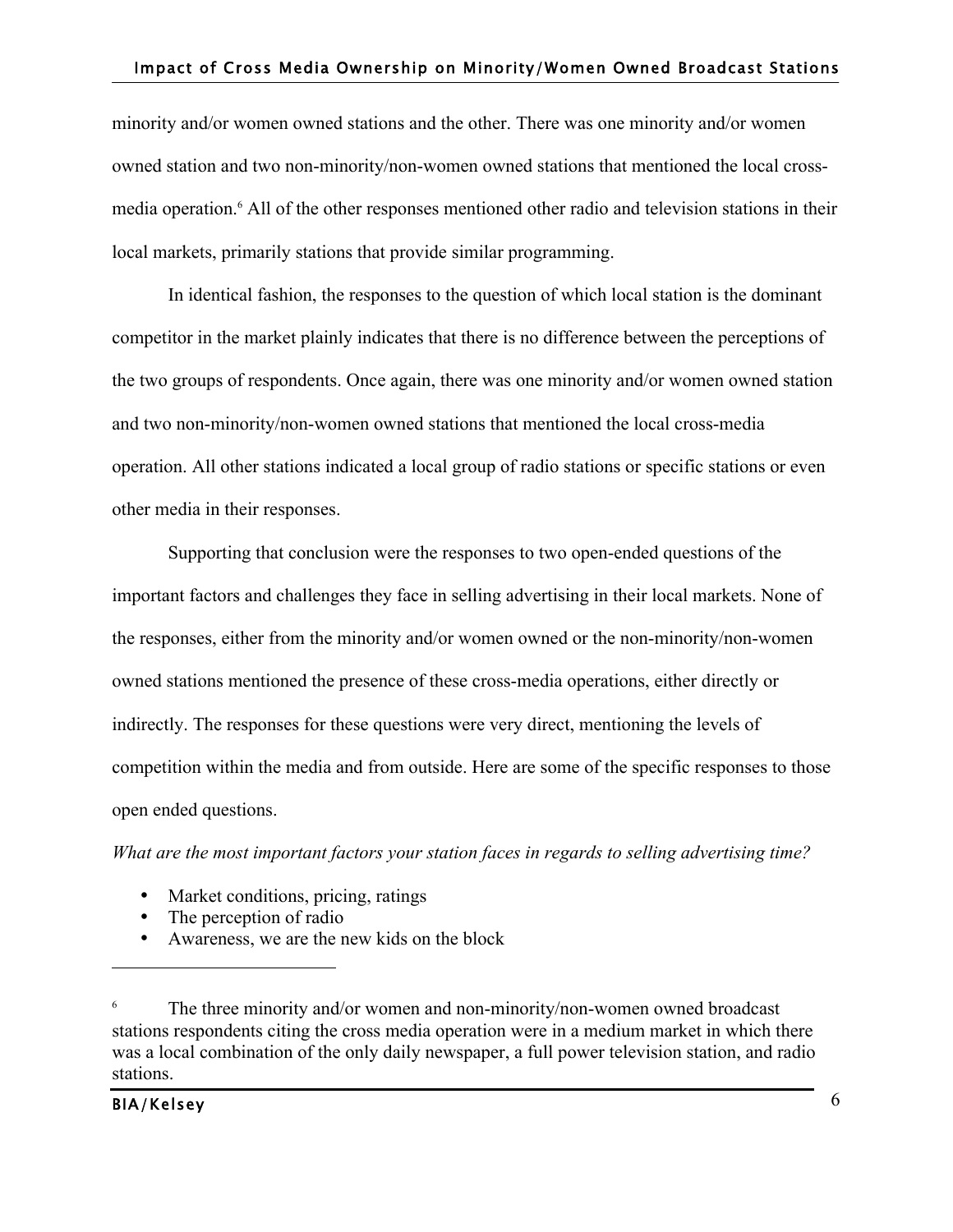minority and/or women owned stations and the other. There was one minority and/or women owned station and two non-minority/non-women owned stations that mentioned the local crossmedia operation.<sup>6</sup> All of the other responses mentioned other radio and television stations in their local markets, primarily stations that provide similar programming.

In identical fashion, the responses to the question of which local station is the dominant competitor in the market plainly indicates that there is no difference between the perceptions of the two groups of respondents. Once again, there was one minority and/or women owned station and two non-minority/non-women owned stations that mentioned the local cross-media operation. All other stations indicated a local group of radio stations or specific stations or even other media in their responses.

Supporting that conclusion were the responses to two open-ended questions of the important factors and challenges they face in selling advertising in their local markets. None of the responses, either from the minority and/or women owned or the non-minority/non-women owned stations mentioned the presence of these cross-media operations, either directly or indirectly. The responses for these questions were very direct, mentioning the levels of competition within the media and from outside. Here are some of the specific responses to those open ended questions.

*What are the most important factors your station faces in regards to selling advertising time?*

- Market conditions, pricing, ratings
- The perception of radio
- Awareness, we are the new kids on the block

The three minority and/or women and non-minority/non-women owned broadcast stations respondents citing the cross media operation were in a medium market in which there was a local combination of the only daily newspaper, a full power television station, and radio stations.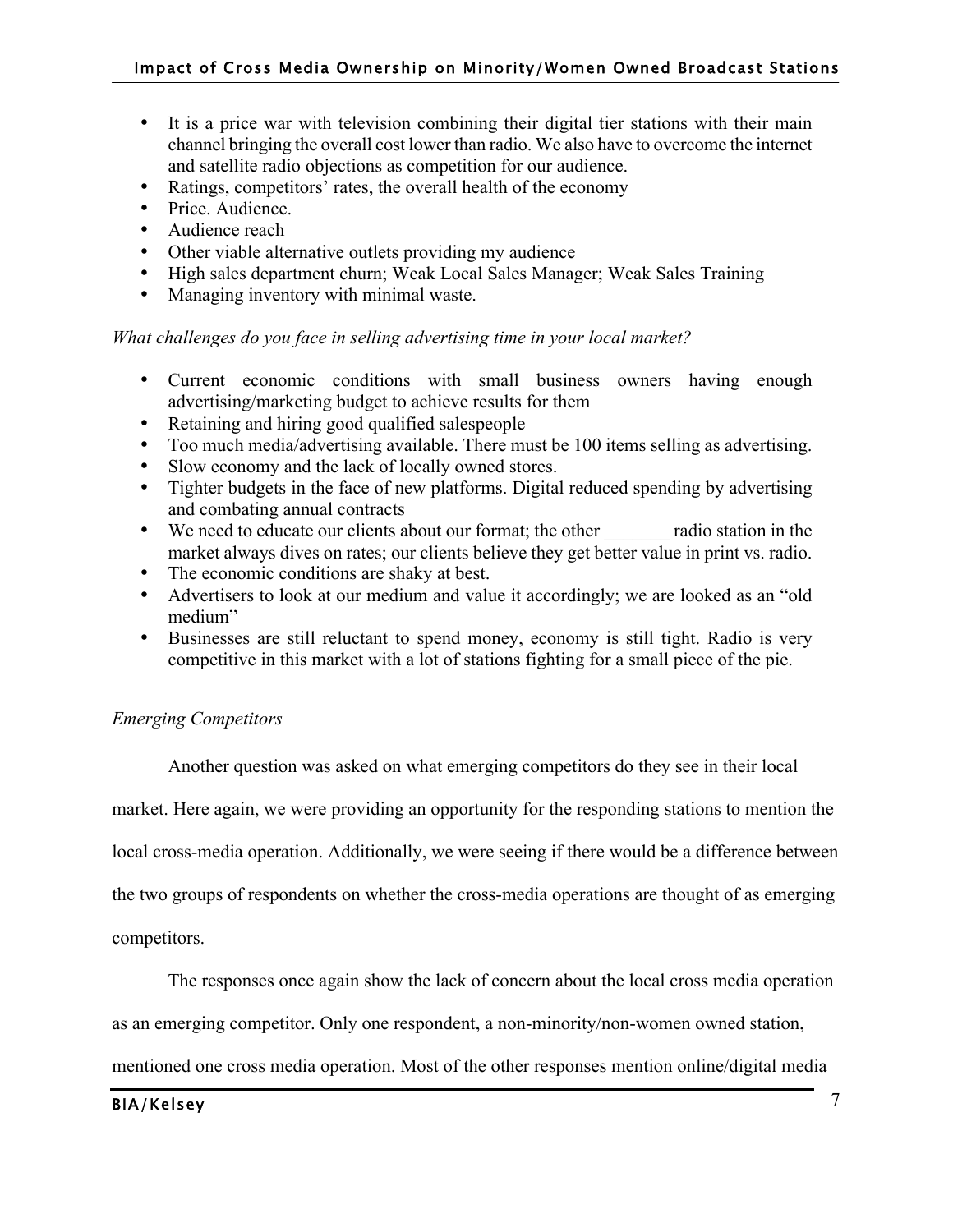- It is a price war with television combining their digital tier stations with their main channel bringing the overall cost lower than radio. We also have to overcome the internet and satellite radio objections as competition for our audience.
- Ratings, competitors' rates, the overall health of the economy
- Price. Audience.
- Audience reach
- Other viable alternative outlets providing my audience
- High sales department churn; Weak Local Sales Manager; Weak Sales Training
- Managing inventory with minimal waste.

# *What challenges do you face in selling advertising time in your local market?*

- Current economic conditions with small business owners having enough advertising/marketing budget to achieve results for them
- Retaining and hiring good qualified salespeople
- Too much media/advertising available. There must be 100 items selling as advertising.
- Slow economy and the lack of locally owned stores.
- Tighter budgets in the face of new platforms. Digital reduced spending by advertising and combating annual contracts
- We need to educate our clients about our format; the other radio station in the market always dives on rates; our clients believe they get better value in print vs. radio.
- The economic conditions are shaky at best.
- Advertisers to look at our medium and value it accordingly; we are looked as an "old medium"
- Businesses are still reluctant to spend money, economy is still tight. Radio is very competitive in this market with a lot of stations fighting for a small piece of the pie.

# *Emerging Competitors*

Another question was asked on what emerging competitors do they see in their local market. Here again, we were providing an opportunity for the responding stations to mention the local cross-media operation. Additionally, we were seeing if there would be a difference between the two groups of respondents on whether the cross-media operations are thought of as emerging

competitors.

The responses once again show the lack of concern about the local cross media operation

as an emerging competitor. Only one respondent, a non-minority/non-women owned station,

mentioned one cross media operation. Most of the other responses mention online/digital media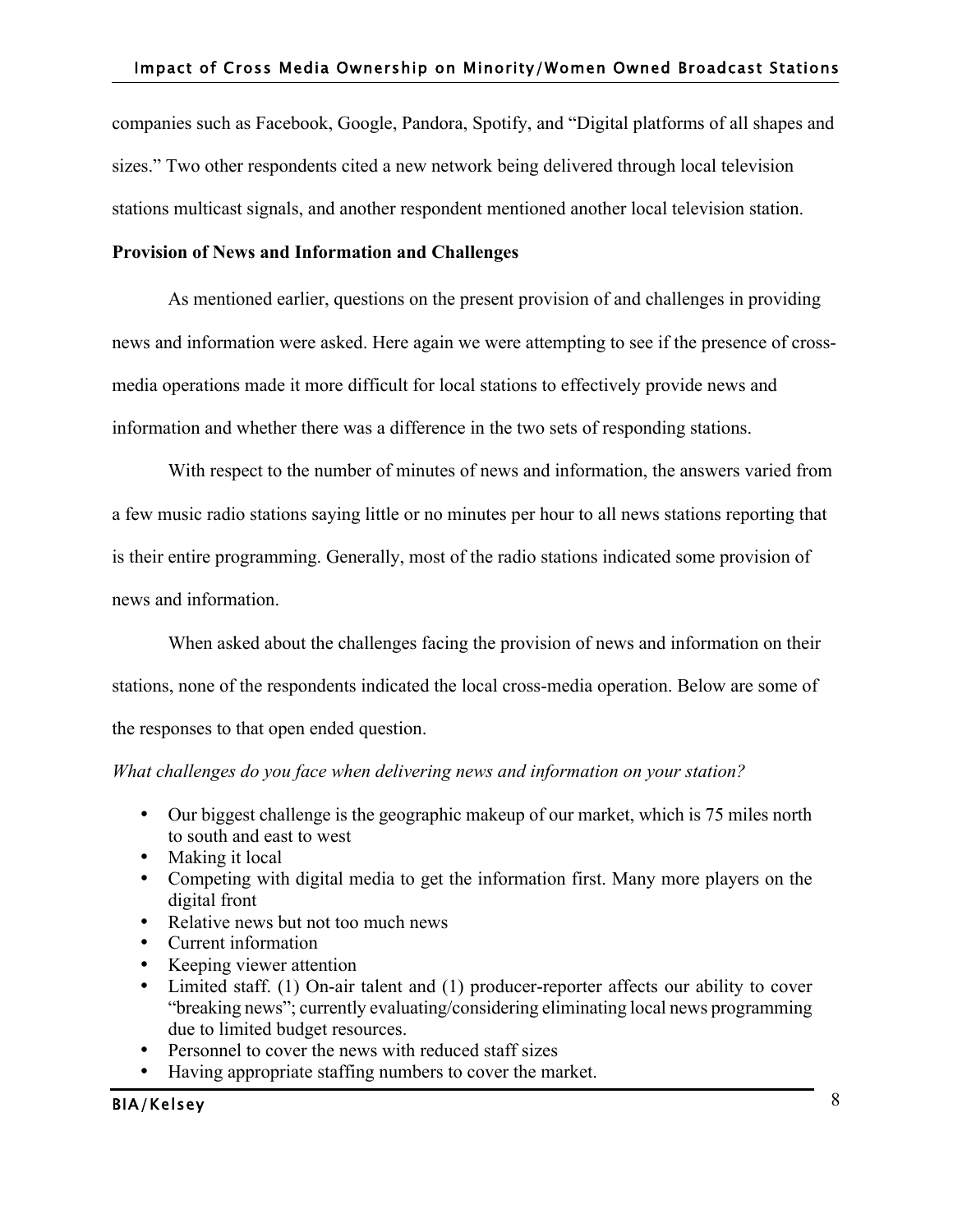companies such as Facebook, Google, Pandora, Spotify, and "Digital platforms of all shapes and sizes." Two other respondents cited a new network being delivered through local television stations multicast signals, and another respondent mentioned another local television station.

# **Provision of News and Information and Challenges**

As mentioned earlier, questions on the present provision of and challenges in providing news and information were asked. Here again we were attempting to see if the presence of crossmedia operations made it more difficult for local stations to effectively provide news and information and whether there was a difference in the two sets of responding stations.

With respect to the number of minutes of news and information, the answers varied from a few music radio stations saying little or no minutes per hour to all news stations reporting that is their entire programming. Generally, most of the radio stations indicated some provision of news and information.

When asked about the challenges facing the provision of news and information on their stations, none of the respondents indicated the local cross-media operation. Below are some of the responses to that open ended question.

# *What challenges do you face when delivering news and information on your station?*

- Our biggest challenge is the geographic makeup of our market, which is 75 miles north to south and east to west
- Making it local
- Competing with digital media to get the information first. Many more players on the digital front
- Relative news but not too much news
- Current information
- Keeping viewer attention
- Limited staff. (1) On-air talent and (1) producer-reporter affects our ability to cover "breaking news"; currently evaluating/considering eliminating local news programming due to limited budget resources.
- Personnel to cover the news with reduced staff sizes
- Having appropriate staffing numbers to cover the market.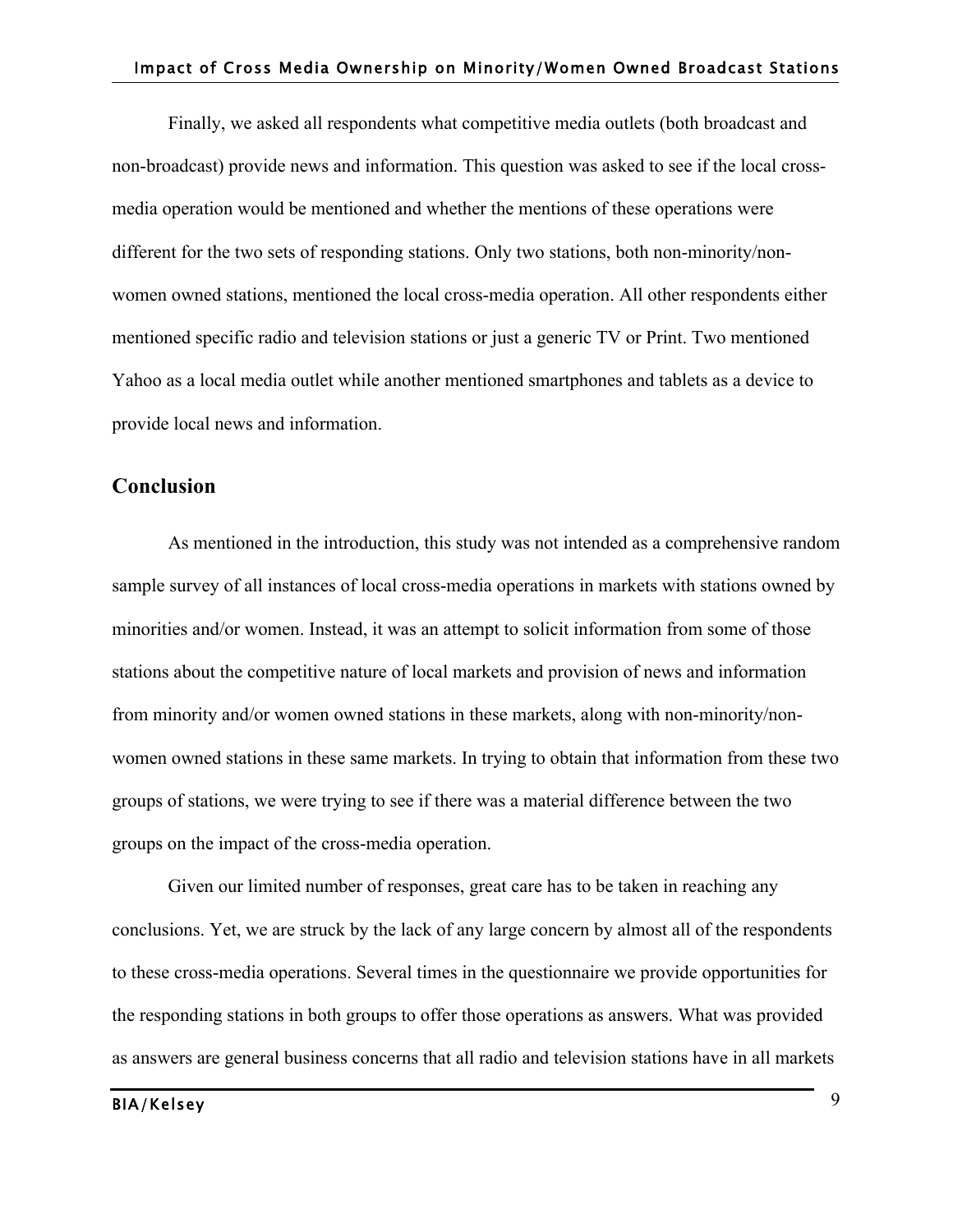Finally, we asked all respondents what competitive media outlets (both broadcast and non-broadcast) provide news and information. This question was asked to see if the local crossmedia operation would be mentioned and whether the mentions of these operations were different for the two sets of responding stations. Only two stations, both non-minority/nonwomen owned stations, mentioned the local cross-media operation. All other respondents either mentioned specific radio and television stations or just a generic TV or Print. Two mentioned Yahoo as a local media outlet while another mentioned smartphones and tablets as a device to provide local news and information.

# **Conclusion**

As mentioned in the introduction, this study was not intended as a comprehensive random sample survey of all instances of local cross-media operations in markets with stations owned by minorities and/or women. Instead, it was an attempt to solicit information from some of those stations about the competitive nature of local markets and provision of news and information from minority and/or women owned stations in these markets, along with non-minority/nonwomen owned stations in these same markets. In trying to obtain that information from these two groups of stations, we were trying to see if there was a material difference between the two groups on the impact of the cross-media operation.

Given our limited number of responses, great care has to be taken in reaching any conclusions. Yet, we are struck by the lack of any large concern by almost all of the respondents to these cross-media operations. Several times in the questionnaire we provide opportunities for the responding stations in both groups to offer those operations as answers. What was provided as answers are general business concerns that all radio and television stations have in all markets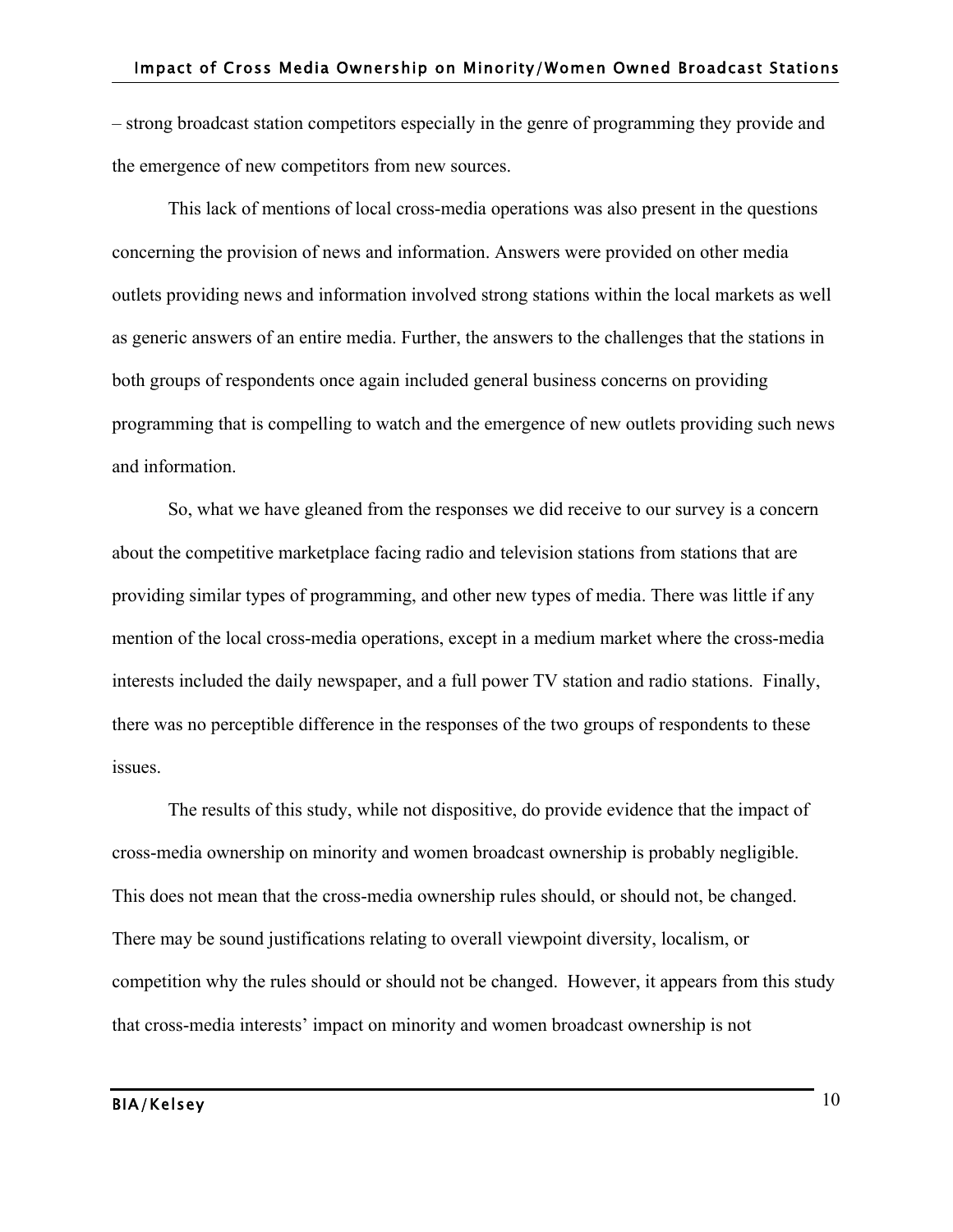– strong broadcast station competitors especially in the genre of programming they provide and the emergence of new competitors from new sources.

This lack of mentions of local cross-media operations was also present in the questions concerning the provision of news and information. Answers were provided on other media outlets providing news and information involved strong stations within the local markets as well as generic answers of an entire media. Further, the answers to the challenges that the stations in both groups of respondents once again included general business concerns on providing programming that is compelling to watch and the emergence of new outlets providing such news and information.

So, what we have gleaned from the responses we did receive to our survey is a concern about the competitive marketplace facing radio and television stations from stations that are providing similar types of programming, and other new types of media. There was little if any mention of the local cross-media operations, except in a medium market where the cross-media interests included the daily newspaper, and a full power TV station and radio stations. Finally, there was no perceptible difference in the responses of the two groups of respondents to these issues.

The results of this study, while not dispositive, do provide evidence that the impact of cross-media ownership on minority and women broadcast ownership is probably negligible. This does not mean that the cross-media ownership rules should, or should not, be changed. There may be sound justifications relating to overall viewpoint diversity, localism, or competition why the rules should or should not be changed. However, it appears from this study that cross-media interests' impact on minority and women broadcast ownership is not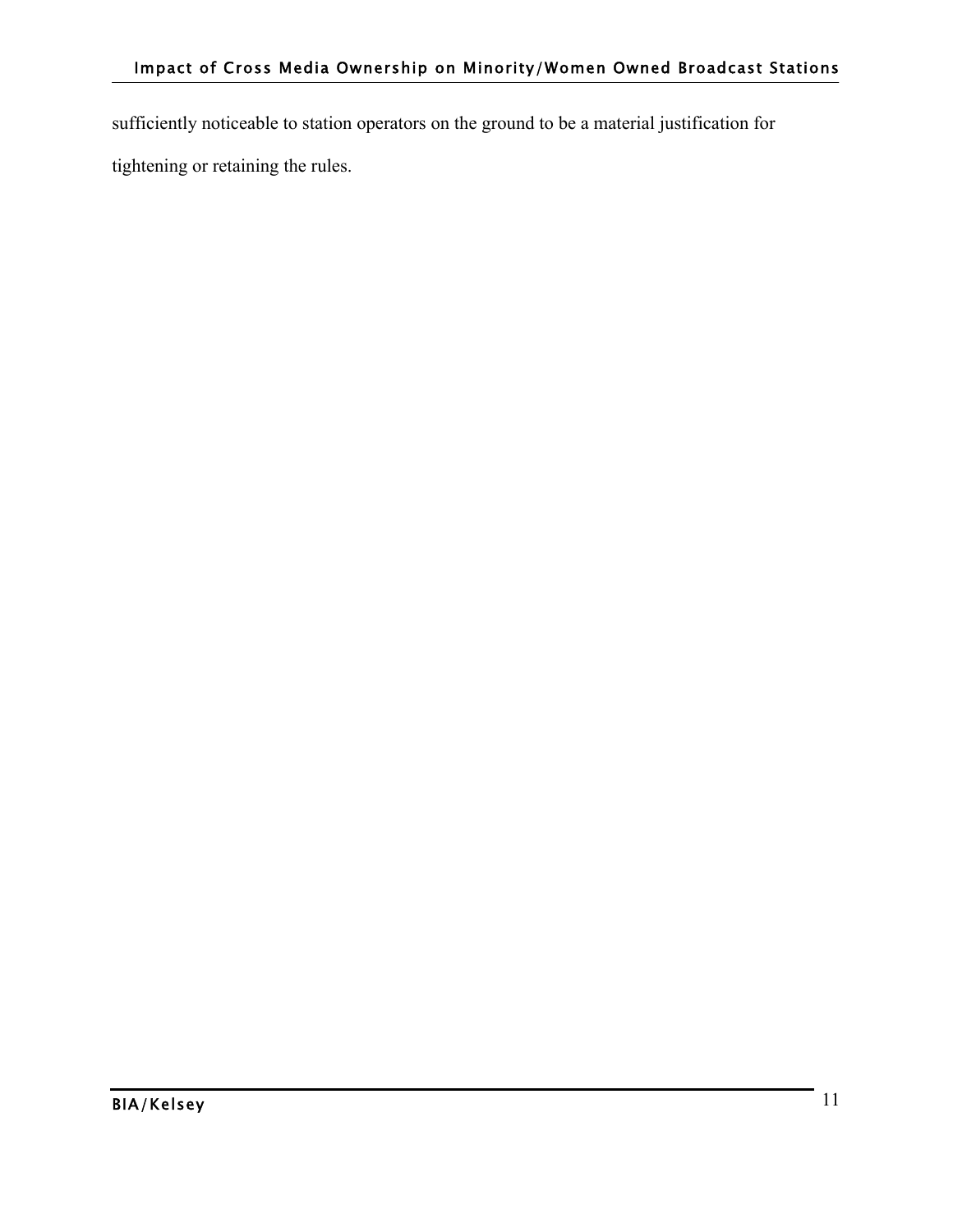sufficiently noticeable to station operators on the ground to be a material justification for tightening or retaining the rules.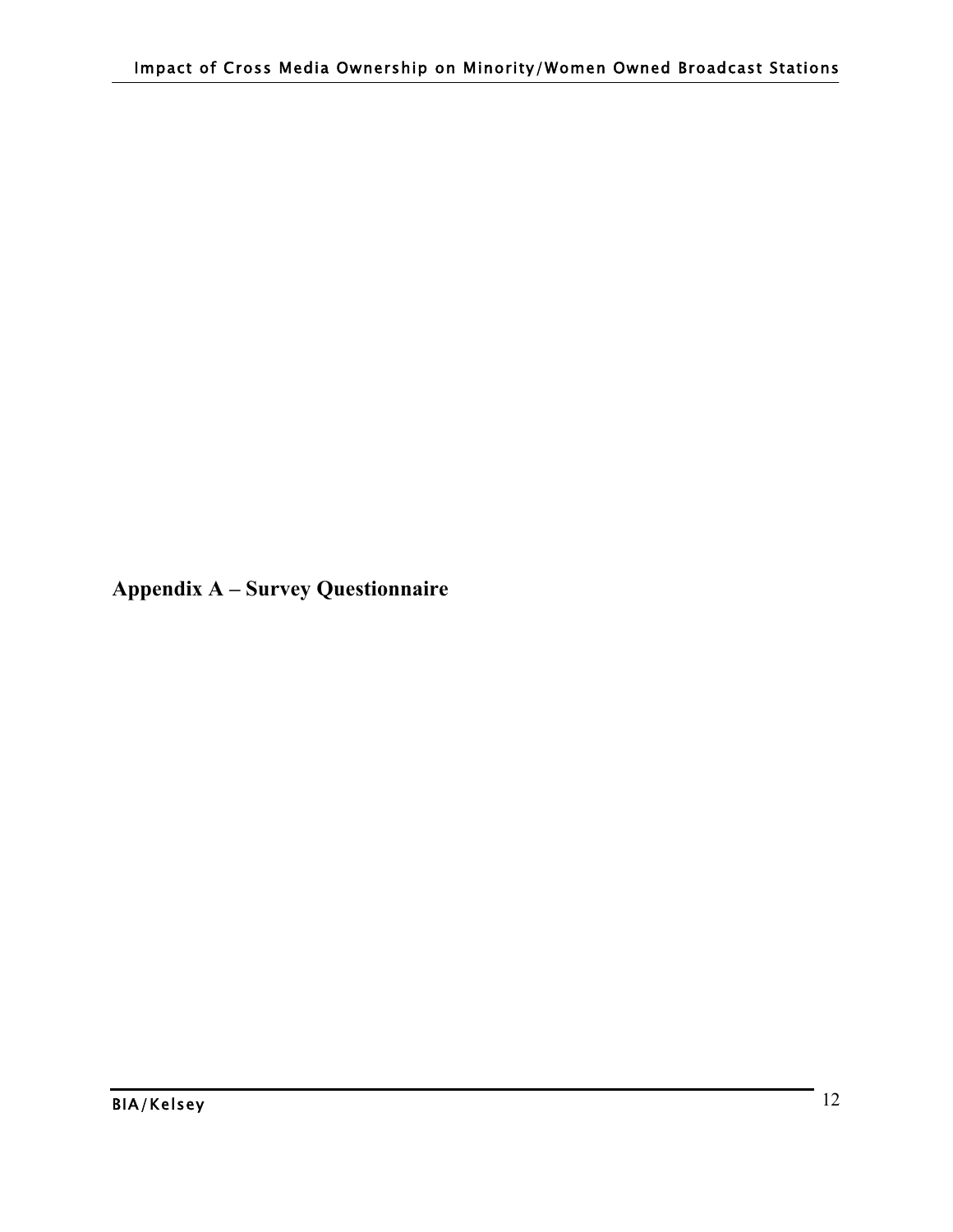**Appendix A – Survey Questionnaire**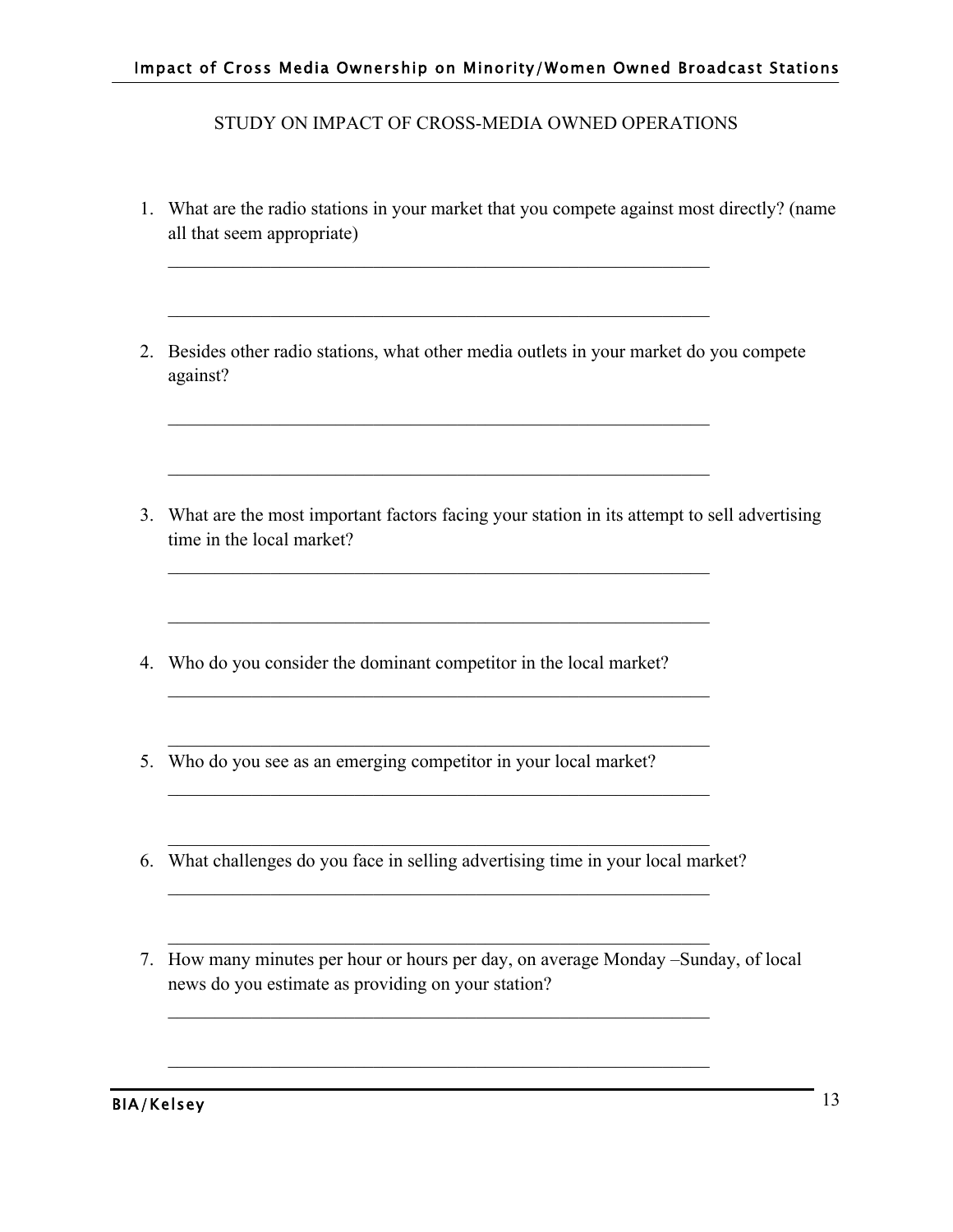STUDY ON IMPACT OF CROSS-MEDIA OWNED OPERATIONS

- 1. What are the radio stations in your market that you compete against most directly? (name all that seem appropriate)
- 2. Besides other radio stations, what other media outlets in your market do you compete against?

 $\mathcal{L}_\text{max}$  , and the contribution of the contribution of the contribution of the contribution of the contribution of the contribution of the contribution of the contribution of the contribution of the contribution of t

 $\mathcal{L}_\text{max}$  , and the contribution of the contribution of the contribution of the contribution of the contribution of the contribution of the contribution of the contribution of the contribution of the contribution of t

 $\mathcal{L}_\text{max}$  , and the contribution of the contribution of the contribution of the contribution of the contribution of the contribution of the contribution of the contribution of the contribution of the contribution of t

 $\mathcal{L}_\text{max}$  , and the contribution of the contribution of the contribution of the contribution of the contribution of the contribution of the contribution of the contribution of the contribution of the contribution of t

 $\mathcal{L}_\text{max}$  , and the contribution of the contribution of the contribution of the contribution of the contribution of the contribution of the contribution of the contribution of the contribution of the contribution of t

 $\mathcal{L}_\text{max}$  , and the contribution of the contribution of the contribution of the contribution of the contribution of the contribution of the contribution of the contribution of the contribution of the contribution of t

 $\mathcal{L}_\text{max}$  and the contract of the contract of the contract of the contract of the contract of the contract of

 $\mathcal{L}_\text{max}$  , and the contribution of the contribution of the contribution of the contribution of the contribution of the contribution of the contribution of the contribution of the contribution of the contribution of t

- 3. What are the most important factors facing your station in its attempt to sell advertising time in the local market?
- 4. Who do you consider the dominant competitor in the local market?
- 5. Who do you see as an emerging competitor in your local market?
- $\mathcal{L}_\text{max}$  , and the contribution of the contribution of the contribution of the contribution of the contribution of the contribution of the contribution of the contribution of the contribution of the contribution of t 6. What challenges do you face in selling advertising time in your local market?  $\mathcal{L}_\text{max}$  and the contract of the contract of the contract of the contract of the contract of the contract of

 $\mathcal{L}_\text{max}$  , and the contribution of the contribution of the contribution of the contribution of the contribution of the contribution of the contribution of the contribution of the contribution of the contribution of t

 $\mathcal{L}_\text{max}$  , and the contribution of the contribution of the contribution of the contribution of the contribution of the contribution of the contribution of the contribution of the contribution of the contribution of t

 $\mathcal{L}_\text{max}$  , and the contribution of the contribution of the contribution of the contribution of the contribution of the contribution of the contribution of the contribution of the contribution of the contribution of t

7. How many minutes per hour or hours per day, on average Monday –Sunday, of local news do you estimate as providing on your station?